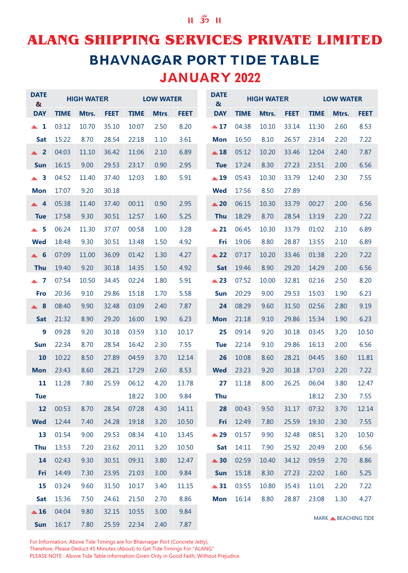## **ALANG SHIPPING SERVICES PRIVATE LIMITED BHAVNAGAR PORT TIDE TABLE** JANUARY 2022

| <b>DATE</b><br>$\alpha$ |             | <b>HIGH WATER</b> |             |             | <b>LOW WATER</b> |             | <b>DATE</b><br>$\boldsymbol{\alpha}$ |             | <b>HIGH WATER</b> |             |             | <b>LOW WATER</b>                |             |
|-------------------------|-------------|-------------------|-------------|-------------|------------------|-------------|--------------------------------------|-------------|-------------------|-------------|-------------|---------------------------------|-------------|
| <b>DAY</b>              | <b>TIME</b> | Mtrs.             | <b>FEET</b> | <b>TIME</b> | Mtrs.            | <b>FEET</b> | <b>DAY</b>                           | <b>TIME</b> | Mtrs.             | <b>FEET</b> | <b>TIME</b> | Mtrs.                           | <b>FEET</b> |
| $\blacktriangle$ 1      | 03:12       | 10.70             | 35.10       | 10:07       | 2.50             | 8.20        | $\triangle 17$                       | 04:38       | 10.10             | 33.14       | 11:30       | 2.60                            | 8.53        |
| <b>Sat</b>              | 15:22       | 8.70              | 28.54       | 22:18       | 1.10             | 3.61        | <b>Mon</b>                           | 16:50       | 8.10              | 26.57       | 23:14       | 2.20                            | 7.22        |
| $\triangle$ 2           | 04:03       | 11.10             | 36.42       | 11:06       | 2.10             | 6.89        | $\triangle$ 18                       | 05:12       | 10.20             | 33.46       | 12:04       | 2.40                            | 7.87        |
| <b>Sun</b>              | 16:15       | 9.00              | 29.53       | 23:17       | 0.90             | 2.95        | <b>Tue</b>                           | 17:24       | 8.30              | 27.23       | 23:51       | 2.00                            | 6.56        |
| $\triangle$ 3           | 04:52       | 11.40             | 37.40       | 12:03       | 1.80             | 5.91        | $\triangle$ 19                       | 05:43       | 10.30             | 33.79       | 12:40       | 2.30                            | 7.55        |
| <b>Mon</b>              | 17:07       | 9.20              | 30.18       |             |                  |             | <b>Wed</b>                           | 17:56       | 8.50              | 27.89       |             |                                 |             |
| $\triangle$ 4           | 05:38       | 11.40             | 37.40       | 00:11       | 0.90             | 2.95        | $\triangle$ 20                       | 06:15       | 10.30             | 33.79       | 00:27       | 2.00                            | 6.56        |
| <b>Tue</b>              | 17:58       | 9.30              | 30.51       | 12:57       | 1.60             | 5.25        | <b>Thu</b>                           | 18:29       | 8.70              | 28.54       | 13:19       | 2.20                            | 7.22        |
| $\triangle$ 5           | 06:24       | 11.30             | 37.07       | 00:58       | 1.00             | 3.28        | $\triangle$ 21                       | 06:45       | 10.30             | 33.79       | 01:02       | 2.10                            | 6.89        |
| <b>Wed</b>              | 18:48       | 9.30              | 30.51       | 13:48       | 1.50             | 4.92        | Fri                                  | 19:06       | 8.80              | 28.87       | 13:55       | 2.10                            | 6.89        |
| $\triangle$ 6           | 07:09       | 11.00             | 36.09       | 01:42       | 1.30             | 4.27        | $\triangle$ 22                       | 07:17       | 10.20             | 33.46       | 01:38       | 2.20                            | 7.22        |
| <b>Thu</b>              | 19:40       | 9.20              | 30.18       | 14:35       | 1.50             | 4.92        | <b>Sat</b>                           | 19:46       | 8.90              | 29.20       | 14:29       | 2.00                            | 6.56        |
| $\blacktriangle$ 7      | 07:54       | 10.50             | 34.45       | 02:24       | 1.80             | 5.91        | $\triangle$ 23                       | 07:52       | 10.00             | 32.81       | 02:16       | 2.50                            | 8.20        |
| Fro                     | 20:36       | 9.10              | 29.86       | 15:18       | 1.70             | 5.58        | <b>Sun</b>                           | 20:29       | 9.00              | 29.53       | 15:03       | 1.90                            | 6.23        |
| 8<br>A                  | 08:40       | 9.90              | 32.48       | 03:09       | 2.40             | 7.87        | 24                                   | 08:29       | 9.60              | 31.50       | 02:56       | 2.80                            | 9.19        |
| <b>Sat</b>              | 21:32       | 8.90              | 29.20       | 16:00       | 1.90             | 6.23        | <b>Mon</b>                           | 21:18       | 9.10              | 29.86       | 15:34       | 1.90                            | 6.23        |
| 9                       | 09:28       | 9.20              | 30.18       | 03:59       | 3.10             | 10.17       | 25                                   | 09:14       | 9.20              | 30.18       | 03:45       | 3.20                            | 10.50       |
| <b>Sun</b>              | 22:34       | 8.70              | 28.54       | 16:42       | 2.30             | 7.55        | <b>Tue</b>                           | 22:14       | 9.10              | 29.86       | 16:13       | 2.00                            | 6.56        |
| 10                      | 10:22       | 8.50              | 27.89       | 04:59       | 3.70             | 12.14       | 26                                   | 10:08       | 8.60              | 28.21       | 04:45       | 3.60                            | 11.81       |
| <b>Mon</b>              | 23:43       | 8.60              | 28.21       | 17:29       | 2.60             | 8.53        | <b>Wed</b>                           | 23:23       | 9.20              | 30.18       | 17:03       | 2.20                            | 7.22        |
| 11                      | 11:28       | 7.80              | 25.59       | 06:12       | 4.20             | 13.78       | 27                                   | 11:18       | 8.00              | 26.25       | 06:04       | 3.80                            | 12.47       |
| <b>Tue</b>              |             |                   |             | 18:22       | 3.00             | 9.84        | <b>Thu</b>                           |             |                   |             | 18:12       | 2.30                            | 7.55        |
| 12                      | 00:53       | 8.70              | 28.54       | 07:28       | 4.30             | 14.11       | 28                                   | 00:43       | 9.50              | 31.17       | 07:32       | 3.70                            | 12.14       |
| <b>Wed</b>              | 12:44       | 7.40              | 24.28       | 19:18       | 3.20             | 10.50       | Fri                                  | 12:49       | 7.80              | 25.59       | 19:30       | 2.30                            | 7.55        |
| 13                      | 01:54       | 9.00              | 29.53       | 08:34       | 4.10             | 13.45       | ▲ 29                                 | 01:57       | 9.90              | 32.48       | 08:51       | 3.20                            | 10.50       |
| <b>Thu</b>              | 13:53       | 7.20              | 23.62       | 20:11       | 3.20             | 10.50       | <b>Sat</b>                           | 14:11       | 7.90              | 25.92       | 20:49       | 2.00                            | 6.56        |
| 14                      | 02:43       | 9.30              | 30.51       | 09:31       | 3.80             | 12.47       | $\triangle$ 30                       | 02:59       | 10.40             | 34.12       | 09:59       | 2.70                            | 8.86        |
| Fri                     | 14:49       | 7.30              | 23.95       | 21:03       | 3.00             | 9.84        | Sun                                  | 15:18       | 8.30              | 27.23       | 22:02       | 1.60                            | 5.25        |
| 15                      | 03:24       | 9.60              | 31.50       | 10:17       | 3.40             | 11.15       | $\triangle 31$                       | 03:55       | 10.80             | 35.43       | 11:01       | 2.20                            | 7.22        |
| Sat                     | 15:36       | 7.50              | 24.61       | 21:50       | 2.70             | 8.86        | <b>Mon</b>                           | 16:14       | 8.80              | 28.87       | 23:08       | 1.30                            | 4.27        |
| $\triangle$ 16          | 04:04       | 9.80              | 32.15       | 10:55       | 3.00             | 9.84        |                                      |             |                   |             |             | MARK <b>&amp; BEACHING TIDE</b> |             |
| Sun                     | 16:17       | 7.80              | 25.59       | 22:34       | 2.40             | 7.87        |                                      |             |                   |             |             |                                 |             |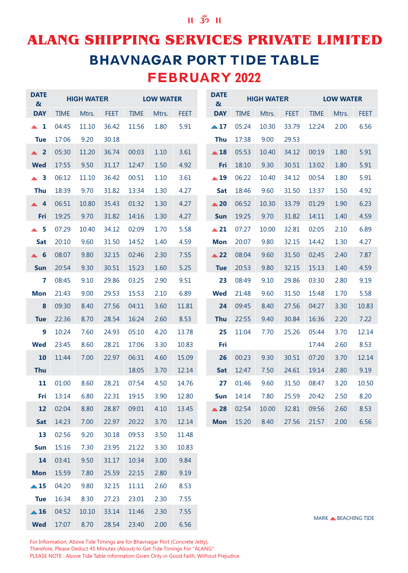### $II$   $35$   $II$

# ALANG SHIPPING SERVICES PRIVATE LIMITED **BHAVNAGAR PORT TIDE TABLE** FEBRUARY 2022

| <b>DATE</b><br>$\alpha$ |             | <b>HIGH WATER</b> |             |             | <b>LOW WATER</b> |             | <b>DATE</b><br>$\boldsymbol{\alpha}$ |             | <b>HIGH WATER</b> |             |             | <b>LOW WATER</b>                |             |
|-------------------------|-------------|-------------------|-------------|-------------|------------------|-------------|--------------------------------------|-------------|-------------------|-------------|-------------|---------------------------------|-------------|
| <b>DAY</b>              | <b>TIME</b> | Mtrs.             | <b>FEET</b> | <b>TIME</b> | Mtrs.            | <b>FEET</b> | <b>DAY</b>                           | <b>TIME</b> | Mtrs.             | <b>FEET</b> | <b>TIME</b> | Mtrs.                           | <b>FEET</b> |
| $\blacktriangle$ 1      | 04:45       | 11.10             | 36.42       | 11:56       | 1.80             | 5.91        | $\triangle$ 17                       | 05:24       | 10.30             | 33.79       | 12:24       | 2.00                            | 6.56        |
| <b>Tue</b>              | 17:06       | 9.20              | 30.18       |             |                  |             | <b>Thu</b>                           | 17:38       | 9.00              | 29.53       |             |                                 |             |
| $\triangle$ 2           | 05:30       | 11.20             | 36.74       | 00:03       | 1.10             | 3.61        | $\triangle$ 18                       | 05:53       | 10.40             | 34.12       | 00:19       | 1.80                            | 5.91        |
| <b>Wed</b>              | 17:55       | 9.50              | 31.17       | 12:47       | 1.50             | 4.92        | Fri                                  | 18:10       | 9.30              | 30.51       | 13:02       | 1.80                            | 5.91        |
| $\triangle$ 3           | 06:12       | 11.10             | 36.42       | 00:51       | 1.10             | 3.61        | $\triangle$ 19                       | 06:22       | 10.40             | 34.12       | 00:54       | 1.80                            | 5.91        |
| <b>Thu</b>              | 18:39       | 9.70              | 31.82       | 13:34       | 1.30             | 4.27        | Sat                                  | 18:46       | 9.60              | 31.50       | 13:37       | 1.50                            | 4.92        |
| $\triangle$ 4           | 06:51       | 10.80             | 35.43       | 01:32       | 1.30             | 4.27        | $\triangle 20$                       | 06:52       | 10.30             | 33.79       | 01:29       | 1.90                            | 6.23        |
| Fri                     | 19:25       | 9.70              | 31.82       | 14:16       | 1.30             | 4.27        | <b>Sun</b>                           | 19:25       | 9.70              | 31.82       | 14:11       | 1.40                            | 4.59        |
| $\triangle$ 5           | 07:29       | 10.40             | 34.12       | 02:09       | 1.70             | 5.58        | $\triangle$ 21                       | 07:27       | 10.00             | 32.81       | 02:05       | 2.10                            | 6.89        |
| <b>Sat</b>              | 20:10       | 9.60              | 31.50       | 14:52       | 1.40             | 4.59        | <b>Mon</b>                           | 20:07       | 9.80              | 32.15       | 14:42       | 1.30                            | 4.27        |
| $\triangle$ 6           | 08:07       | 9.80              | 32.15       | 02:46       | 2.30             | 7.55        | $\triangle$ 22                       | 08:04       | 9.60              | 31.50       | 02:45       | 2.40                            | 7.87        |
| <b>Sun</b>              | 20:54       | 9.30              | 30.51       | 15:23       | 1.60             | 5.25        | <b>Tue</b>                           | 20:53       | 9.80              | 32.15       | 15:13       | 1.40                            | 4.59        |
| 7                       | 08:45       | 9.10              | 29.86       | 03:25       | 2.90             | 9.51        | 23                                   | 08:49       | 9.10              | 29.86       | 03:30       | 2.80                            | 9.19        |
| <b>Mon</b>              | 21:43       | 9.00              | 29.53       | 15:53       | 2.10             | 6.89        | <b>Wed</b>                           | 21:48       | 9.60              | 31.50       | 15:48       | 1.70                            | 5.58        |
| 8                       | 09:30       | 8.40              | 27.56       | 04:11       | 3.60             | 11.81       | 24                                   | 09:45       | 8.40              | 27.56       | 04:27       | 3.30                            | 10.83       |
| <b>Tue</b>              | 22:36       | 8.70              | 28.54       | 16:24       | 2.60             | 8.53        | <b>Thu</b>                           | 22:55       | 9.40              | 30.84       | 16:36       | 2.20                            | 7.22        |
| 9                       | 10:24       | 7.60              | 24.93       | 05:10       | 4.20             | 13.78       | 25                                   | 11:04       | 7.70              | 25.26       | 05:44       | 3.70                            | 12.14       |
| Wed                     | 23:45       | 8.60              | 28.21       | 17:06       | 3.30             | 10.83       | Fri                                  |             |                   |             | 17:44       | 2.60                            | 8.53        |
| 10                      | 11:44       | 7.00              | 22.97       | 06:31       | 4.60             | 15.09       | 26                                   | 00:23       | 9.30              | 30.51       | 07:20       | 3.70                            | 12.14       |
| <b>Thu</b>              |             |                   |             | 18:05       | 3.70             | 12.14       | <b>Sat</b>                           | 12:47       | 7.50              | 24.61       | 19:14       | 2.80                            | 9.19        |
| 11                      | 01:00       | 8.60              | 28.21       | 07:54       | 4.50             | 14.76       | 27                                   | 01:46       | 9.60              | 31.50       | 08:47       | 3.20                            | 10.50       |
| Fri                     | 13:14       | 6.80              | 22.31       | 19:15       | 3.90             | 12.80       | Sun                                  | 14:14       | 7.80              | 25.59       | 20:42       | 2.50                            | 8.20        |
| 12                      | 02:04       | 8.80              | 28.87       | 09:01       | 4.10             | 13.45       | $\triangle$ 28                       | 02:54       | 10.00             | 32.81       | 09:56       | 2.60                            | 8.53        |
| <b>Sat</b>              | 14:23       | 7.00              | 22.97       | 20:22       | 3.70             | 12.14       | <b>Mon</b>                           | 15:20       | 8.40              | 27.56       | 21:57       | 2.00                            | 6.56        |
| 13                      | 02:56       | 9.20              | 30.18       | 09:53       | 3.50             | 11.48       |                                      |             |                   |             |             |                                 |             |
| <b>Sun</b>              | 15:16       | 7.30              | 23.95       | 21:22       | 3.30             | 10.83       |                                      |             |                   |             |             |                                 |             |
| 14                      | 03:41       | 9.50              | 31.17       | 10:34       | 3.00             | 9.84        |                                      |             |                   |             |             |                                 |             |
| <b>Mon</b>              | 15:59       | 7.80              | 25.59       | 22:15       | 2.80             | 9.19        |                                      |             |                   |             |             |                                 |             |
| $\triangle$ 15          | 04:20       | 9.80              | 32.15       | 11:11       | 2.60             | 8.53        |                                      |             |                   |             |             |                                 |             |
| <b>Tue</b>              | 16:34       | 8.30              | 27.23       | 23:01       | 2.30             | 7.55        |                                      |             |                   |             |             |                                 |             |
| $\triangle$ 16          | 04:52       | 10.10             | 33.14       | 11:46       | 2.30             | 7.55        |                                      |             |                   |             |             | MARK <b>&amp; BEACHING TIDE</b> |             |

For Information, Above Tide Timings are for Bhavnagar Port (Concrete Jetty), Therefore, Please Deduct 45 Minutes (About) to Get Tide Timings For "ALANG" PLEASE NOTE : Above Tide Table information Given Only in Good Faith, Without Prejudice.

2.00

6.56

23:40 28.54

**Wed** 17:07

8.70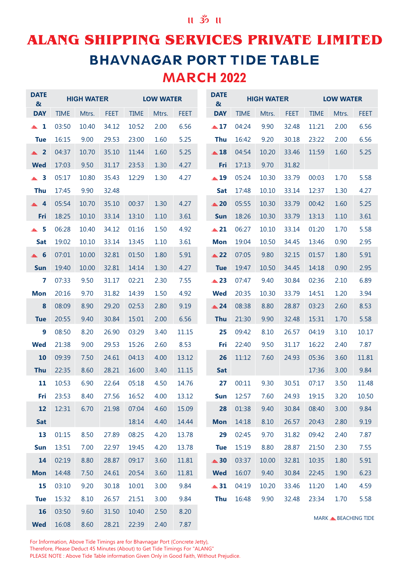## **ALANG SHIPPING SERVICES PRIVATE LIMITED BHAVNAGAR PORT TIDE TABLE** MARCH 2022

| <b>DATE</b><br>$\boldsymbol{\alpha}$ |             | <b>HIGH WATER</b> |             |             | <b>LOW WATER</b> |             | <b>DATE</b><br>$\boldsymbol{\alpha}$ |             | <b>HIGH WATER</b> |             |             | <b>LOW WATER</b>                |             |
|--------------------------------------|-------------|-------------------|-------------|-------------|------------------|-------------|--------------------------------------|-------------|-------------------|-------------|-------------|---------------------------------|-------------|
| <b>DAY</b>                           | <b>TIME</b> | Mtrs.             | <b>FEET</b> | <b>TIME</b> | Mtrs.            | <b>FEET</b> | <b>DAY</b>                           | <b>TIME</b> | Mtrs.             | <b>FEET</b> | <b>TIME</b> | Mtrs.                           | <b>FEET</b> |
| $\blacktriangle$ 1                   | 03:50       | 10.40             | 34.12       | 10:52       | 2.00             | 6.56        | $\triangle 17$                       | 04:24       | 9.90              | 32.48       | 11:21       | 2.00                            | 6.56        |
| <b>Tue</b>                           | 16:15       | 9.00              | 29.53       | 23:00       | 1.60             | 5.25        | <b>Thu</b>                           | 16:42       | 9.20              | 30.18       | 23:22       | 2.00                            | 6.56        |
| $\triangle$ 2                        | 04:37       | 10.70             | 35.10       | 11:44       | 1.60             | 5.25        | $\triangle$ 18                       | 04:54       | 10.20             | 33.46       | 11:59       | 1.60                            | 5.25        |
| <b>Wed</b>                           | 17:03       | 9.50              | 31.17       | 23:53       | 1.30             | 4.27        | Fri                                  | 17:13       | 9.70              | 31.82       |             |                                 |             |
| $\triangle$ 3                        | 05:17       | 10.80             | 35.43       | 12:29       | 1.30             | 4.27        | $\triangle$ 19                       | 05:24       | 10.30             | 33.79       | 00:03       | 1.70                            | 5.58        |
| <b>Thu</b>                           | 17:45       | 9.90              | 32.48       |             |                  |             | <b>Sat</b>                           | 17:48       | 10.10             | 33.14       | 12:37       | 1.30                            | 4.27        |
| $\triangle$ 4                        | 05:54       | 10.70             | 35.10       | 00:37       | 1.30             | 4.27        | $\triangle$ 20                       | 05:55       | 10.30             | 33.79       | 00:42       | 1.60                            | 5.25        |
| Fri                                  | 18:25       | 10.10             | 33.14       | 13:10       | 1.10             | 3.61        | <b>Sun</b>                           | 18:26       | 10.30             | 33.79       | 13:13       | 1.10                            | 3.61        |
| 5<br>$\triangle$                     | 06:28       | 10.40             | 34.12       | 01:16       | 1.50             | 4.92        | $\triangle$ 21                       | 06:27       | 10.10             | 33.14       | 01:20       | 1.70                            | 5.58        |
| <b>Sat</b>                           | 19:02       | 10.10             | 33.14       | 13:45       | 1.10             | 3.61        | <b>Mon</b>                           | 19:04       | 10.50             | 34.45       | 13:46       | 0.90                            | 2.95        |
| - 6<br>$\blacktriangle$              | 07:01       | 10.00             | 32.81       | 01:50       | 1.80             | 5.91        | $\triangle$ 22                       | 07:05       | 9.80              | 32.15       | 01:57       | 1.80                            | 5.91        |
| <b>Sun</b>                           | 19:40       | 10.00             | 32.81       | 14:14       | 1.30             | 4.27        | <b>Tue</b>                           | 19:47       | 10.50             | 34.45       | 14:18       | 0.90                            | 2.95        |
| 7                                    | 07:33       | 9.50              | 31.17       | 02:21       | 2.30             | 7.55        | $\triangle$ 23                       | 07:47       | 9.40              | 30.84       | 02:36       | 2.10                            | 6.89        |
| <b>Mon</b>                           | 20:16       | 9.70              | 31.82       | 14:39       | 1.50             | 4.92        | <b>Wed</b>                           | 20:35       | 10.30             | 33.79       | 14:51       | 1.20                            | 3.94        |
| 8                                    | 08:09       | 8.90              | 29.20       | 02:53       | 2.80             | 9.19        | $\triangle$ 24                       | 08:38       | 8.80              | 28.87       | 03:23       | 2.60                            | 8.53        |
| <b>Tue</b>                           | 20:55       | 9.40              | 30.84       | 15:01       | 2.00             | 6.56        | <b>Thu</b>                           | 21:30       | 9.90              | 32.48       | 15:31       | 1.70                            | 5.58        |
| 9                                    | 08:50       | 8.20              | 26.90       | 03:29       | 3.40             | 11.15       | 25                                   | 09:42       | 8.10              | 26.57       | 04:19       | 3.10                            | 10.17       |
| <b>Wed</b>                           | 21:38       | 9.00              | 29.53       | 15:26       | 2.60             | 8.53        | Fri                                  | 22:40       | 9.50              | 31.17       | 16:22       | 2.40                            | 7.87        |
| 10                                   | 09:39       | 7.50              | 24.61       | 04:13       | 4.00             | 13.12       | 26                                   | 11:12       | 7.60              | 24.93       | 05:36       | 3.60                            | 11.81       |
| <b>Thu</b>                           | 22:35       | 8.60              | 28.21       | 16:00       | 3.40             | 11.15       | <b>Sat</b>                           |             |                   |             | 17:36       | 3.00                            | 9.84        |
| 11                                   | 10:53       | 6.90              | 22.64       | 05:18       | 4.50             | 14.76       | 27                                   | 00:11       | 9.30              | 30.51       | 07:17       | 3.50                            | 11.48       |
| Fri                                  | 23:53       | 8.40              | 27.56       | 16:52       | 4.00             | 13.12       | <b>Sun</b>                           | 12:57       | 7.60              | 24.93       | 19:15       | 3.20                            | 10.50       |
| 12                                   | 12:31       | 6.70              | 21.98       | 07:04       | 4.60             | 15.09       | 28                                   | 01:38       | 9.40              | 30.84       | 08:40       | 3.00                            | 9.84        |
| Sat                                  |             |                   |             | 18:14       | 4.40             | 14.44       | <b>Mon</b>                           | 14:18       | 8.10              | 26.57       | 20:43       | 2.80                            | 9.19        |
| 13                                   | 01:15       | 8.50              | 27.89       | 08:25       | 4.20             | 13.78       | 29                                   | 02:45       | 9.70              | 31.82       | 09:42       | 2.40                            | 7.87        |
| <b>Sun</b>                           | 13:51       | 7.00              | 22.97       | 19:45       | 4.20             | 13.78       | <b>Tue</b>                           | 15:19       | 8.80              | 28.87       | 21:50       | 2.30                            | 7.55        |
| 14                                   | 02:19       | 8.80              | 28.87       | 09:17       | 3.60             | 11.81       | $\triangle$ 30                       | 03:37       | 10.00             | 32.81       | 10:35       | 1.80                            | 5.91        |
| <b>Mon</b>                           | 14:48       | 7.50              | 24.61       | 20:54       | 3.60             | 11.81       | <b>Wed</b>                           | 16:07       | 9.40              | 30.84       | 22:45       | 1.90                            | 6.23        |
| 15                                   | 03:10       | 9.20              | 30.18       | 10:01       | 3.00             | 9.84        | $\triangle 31$                       | 04:19       | 10.20             | 33.46       | 11:20       | 1.40                            | 4.59        |
| <b>Tue</b>                           | 15:32       | 8.10              | 26.57       | 21:51       | 3.00             | 9.84        | <b>Thu</b>                           | 16:48       | 9.90              | 32.48       | 23:34       | 1.70                            | 5.58        |
| 16                                   | 03:50       | 9.60              | 31.50       | 10:40       | 2.50             | 8.20        |                                      |             |                   |             |             | MARK <b>&amp; BEACHING TIDE</b> |             |
| <b>Wed</b>                           | 16:08       | 8.60              | 28.21       | 22:39       | 2.40             | 7.87        |                                      |             |                   |             |             |                                 |             |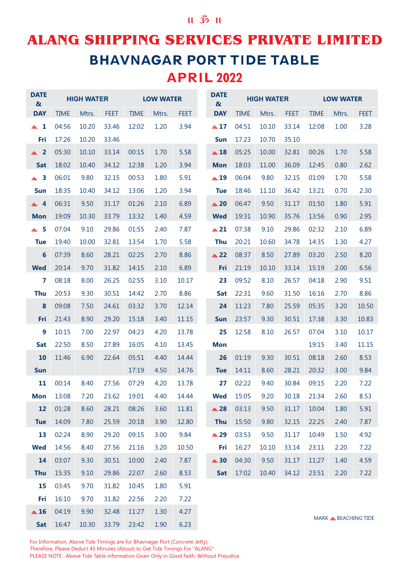## **ALANG SHIPPING SERVICES PRIVATE LIMITED BHAVNAGAR PORT TIDE TABLE** APRIL 2022

| <b>DATE</b><br>$\boldsymbol{\alpha}$ |             | <b>HIGH WATER</b> |             |             | <b>LOW WATER</b> |             | <b>DATE</b><br>$\boldsymbol{\alpha}$ |             | <b>HIGH WATER</b> |             |             | <b>LOW WATER</b>                |             |
|--------------------------------------|-------------|-------------------|-------------|-------------|------------------|-------------|--------------------------------------|-------------|-------------------|-------------|-------------|---------------------------------|-------------|
| <b>DAY</b>                           | <b>TIME</b> | Mtrs.             | <b>FEET</b> | <b>TIME</b> | Mtrs.            | <b>FEET</b> | <b>DAY</b>                           | <b>TIME</b> | Mtrs.             | <b>FEET</b> | <b>TIME</b> | Mtrs.                           | <b>FEET</b> |
| $\blacktriangle$ 1                   | 04:56       | 10.20             | 33.46       | 12:02       | 1.20             | 3.94        | $\triangle 17$                       | 04:51       | 10.10             | 33.14       | 12:08       | 1.00                            | 3.28        |
| Fri                                  | 17:26       | 10.20             | 33.46       |             |                  |             | <b>Sun</b>                           | 17:23       | 10.70             | 35.10       |             |                                 |             |
| $\triangle$ 2                        | 05:30       | 10.10             | 33.14       | 00:15       | 1.70             | 5.58        | $\triangle$ 18                       | 05:25       | 10.00             | 32.81       | 00:26       | 1.70                            | 5.58        |
| <b>Sat</b>                           | 18:02       | 10.40             | 34.12       | 12:38       | 1.20             | 3.94        | <b>Mon</b>                           | 18:03       | 11.00             | 36.09       | 12:45       | 0.80                            | 2.62        |
| $\triangle$ 3                        | 06:01       | 9.80              | 32.15       | 00:53       | 1.80             | 5.91        | $\triangle$ 19                       | 06:04       | 9.80              | 32.15       | 01:09       | 1.70                            | 5.58        |
| <b>Sun</b>                           | 18:35       | 10.40             | 34.12       | 13:06       | 1.20             | 3.94        | <b>Tue</b>                           | 18:46       | 11.10             | 36.42       | 13:21       | 0.70                            | 2.30        |
| $\triangle 4$                        | 06:31       | 9.50              | 31.17       | 01:26       | 2.10             | 6.89        | $\triangle$ 20                       | 06:47       | 9.50              | 31.17       | 01:50       | 1.80                            | 5.91        |
| <b>Mon</b>                           | 19:09       | 10.30             | 33.79       | 13:32       | 1.40             | 4.59        | <b>Wed</b>                           | 19:31       | 10.90             | 35.76       | 13:56       | 0.90                            | 2.95        |
| $\triangle$ 5                        | 07:04       | 9.10              | 29.86       | 01:55       | 2.40             | 7.87        | $\triangle 21$                       | 07:38       | 9.10              | 29.86       | 02:32       | 2.10                            | 6.89        |
| <b>Tue</b>                           | 19:40       | 10.00             | 32.81       | 13:54       | 1.70             | 5.58        | <b>Thu</b>                           | 20:21       | 10.60             | 34.78       | 14:35       | 1.30                            | 4.27        |
| $6\phantom{1}6$                      | 07:39       | 8.60              | 28.21       | 02:25       | 2.70             | 8.86        | $\triangle$ 22                       | 08:37       | 8.50              | 27.89       | 03:20       | 2.50                            | 8.20        |
| <b>Wed</b>                           | 20:14       | 9.70              | 31.82       | 14:15       | 2.10             | 6.89        | Fri                                  | 21:19       | 10.10             | 33.14       | 15:19       | 2.00                            | 6.56        |
| 7                                    | 08:18       | 8.00              | 26.25       | 02:55       | 3.10             | 10.17       | 23                                   | 09:52       | 8.10              | 26.57       | 04:18       | 2.90                            | 9.51        |
| <b>Thu</b>                           | 20:53       | 9.30              | 30.51       | 14:42       | 2.70             | 8.86        | <b>Sat</b>                           | 22:31       | 9.60              | 31.50       | 16:16       | 2.70                            | 8.86        |
| 8                                    | 09:08       | 7.50              | 24.61       | 03:32       | 3.70             | 12.14       | 24                                   | 11:23       | 7.80              | 25.59       | 05:35       | 3.20                            | 10.50       |
| Fri                                  | 21:43       | 8.90              | 29.20       | 15:18       | 3.40             | 11.15       | <b>Sun</b>                           | 23:57       | 9.30              | 30.51       | 17:38       | 3.30                            | 10.83       |
| $\boldsymbol{9}$                     | 10:15       | 7.00              | 22.97       | 04:23       | 4.20             | 13.78       | 25                                   | 12:58       | 8.10              | 26.57       | 07:04       | 3.10                            | 10.17       |
| <b>Sat</b>                           | 22:50       | 8.50              | 27.89       | 16:05       | 4.10             | 13.45       | <b>Mon</b>                           |             |                   |             | 19:15       | 3.40                            | 11.15       |
| 10                                   | 11:46       | 6.90              | 22.64       | 05:51       | 4.40             | 14.44       | 26                                   | 01:19       | 9.30              | 30.51       | 08:18       | 2.60                            | 8.53        |
| <b>Sun</b>                           |             |                   |             | 17:19       | 4.50             | 14.76       | <b>Tue</b>                           | 14:11       | 8.60              | 28.21       | 20:32       | 3.00                            | 9.84        |
| 11                                   | 00:14       | 8.40              | 27.56       | 07:29       | 4.20             | 13.78       | 27                                   | 02:22       | 9.40              | 30.84       | 09:15       | 2.20                            | 7.22        |
| <b>Mon</b>                           | 13:08       | 7.20              | 23.62       | 19:01       | 4.40             | 14.44       | <b>Wed</b>                           | 15:05       | 9.20              | 30.18       | 21:34       | 2.60                            | 8.53        |
| 12                                   | 01:28       | 8.60              | 28.21       | 08:26       | 3.60             | 11.81       | $\triangle$ 28                       | 03:13       | 9.50              | 31.17       | 10:04       | 1.80                            | 5.91        |
| <b>Tue</b>                           | 14:09       | 7.80              | 25.59       | 20:18       | 3.90             | 12.80       | <b>Thu</b>                           | 15:50       | 9.80              | 32.15       | 22:25       | 2.40                            | 7.87        |
| 13                                   | 02:24       | 8.90              | 29.20       | 09:15       | 3.00             | 9.84        | ▲ 29                                 | 03:53       | 9.50              | 31.17       | 10:49       | 1.50                            | 4.92        |
| <b>Wed</b>                           | 14:56       | 8.40              | 27.56       | 21:16       | 3.20             | 10.50       | Fri                                  | 16:27       | 10.10             | 33.14       | 23:11       | 2.20                            | 7.22        |
| 14                                   | 03:07       | 9.30              | 30.51       | 10:00       | 2.40             | 7.87        | $\triangle$ 30                       | 04:30       | 9.50              | 31.17       | 11:27       | 1.40                            | 4.59        |
| <b>Thu</b>                           | 15:35       | 9.10              | 29.86       | 22:07       | 2.60             | 8.53        | Sat                                  | 17:02       | 10.40             | 34.12       | 23:51       | 2.20                            | 7.22        |
| 15                                   | 03:45       | 9.70              | 31.82       | 10:45       | 1.80             | 5.91        |                                      |             |                   |             |             |                                 |             |
| Fri                                  | 16:10       | 9.70              | 31.82       | 22:56       | 2.20             | 7.22        |                                      |             |                   |             |             |                                 |             |
| $\triangle$ 16                       | 04:19       | 9.90              | 32.48       | 11:27       | 1.30             | 4.27        |                                      |             |                   |             |             |                                 |             |
| Sat                                  | 16:47       | 10.30             | 33.79       | 23:42       | 1.90             | 6.23        |                                      |             |                   |             |             | MARK <b>&amp; BEACHING TIDE</b> |             |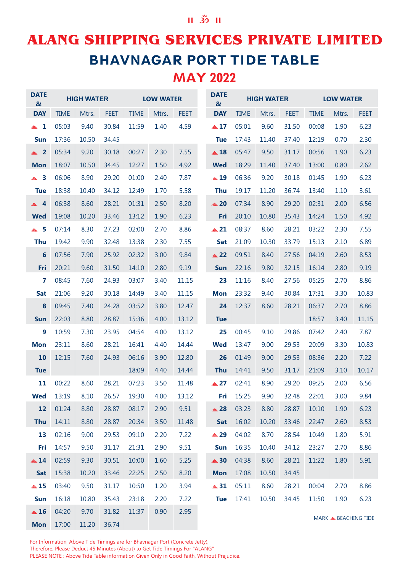### **ALANG SHIPPING SERVICES PRIVATE LIMITED BHAVNAGAR PORT TIDE TABLE** MAY 2022

| <b>DATE</b><br>$\boldsymbol{\alpha}$ |             | <b>HIGH WATER</b> |             |             | <b>LOW WATER</b> |             | <b>DATE</b><br>$\boldsymbol{\alpha}$ |             | <b>HIGH WATER</b> |             |             | <b>LOW WATER</b>                |             |
|--------------------------------------|-------------|-------------------|-------------|-------------|------------------|-------------|--------------------------------------|-------------|-------------------|-------------|-------------|---------------------------------|-------------|
| <b>DAY</b>                           | <b>TIME</b> | Mtrs.             | <b>FEET</b> | <b>TIME</b> | Mtrs.            | <b>FEET</b> | <b>DAY</b>                           | <b>TIME</b> | Mtrs.             | <b>FEET</b> | <b>TIME</b> | Mtrs.                           | <b>FEET</b> |
| $\blacktriangle$ 1                   | 05:03       | 9.40              | 30.84       | 11:59       | 1.40             | 4.59        | $\triangle 17$                       | 05:01       | 9.60              | 31.50       | 00:08       | 1.90                            | 6.23        |
| <b>Sun</b>                           | 17:36       | 10.50             | 34.45       |             |                  |             | <b>Tue</b>                           | 17:43       | 11.40             | 37.40       | 12:19       | 0.70                            | 2.30        |
| $\triangle$ 2                        | 05:34       | 9.20              | 30.18       | 00:27       | 2.30             | 7.55        | $\triangle$ 18                       | 05:47       | 9.50              | 31.17       | 00:56       | 1.90                            | 6.23        |
| <b>Mon</b>                           | 18:07       | 10.50             | 34.45       | 12:27       | 1.50             | 4.92        | <b>Wed</b>                           | 18:29       | 11.40             | 37.40       | 13:00       | 0.80                            | 2.62        |
| $\triangle$ 3                        | 06:06       | 8.90              | 29.20       | 01:00       | 2.40             | 7.87        | $\triangle$ 19                       | 06:36       | 9.20              | 30.18       | 01:45       | 1.90                            | 6.23        |
| <b>Tue</b>                           | 18:38       | 10.40             | 34.12       | 12:49       | 1.70             | 5.58        | <b>Thu</b>                           | 19:17       | 11.20             | 36.74       | 13:40       | 1.10                            | 3.61        |
| $\triangle 4$                        | 06:38       | 8.60              | 28.21       | 01:31       | 2.50             | 8.20        | $\triangle$ 20                       | 07:34       | 8.90              | 29.20       | 02:31       | 2.00                            | 6.56        |
| <b>Wed</b>                           | 19:08       | 10.20             | 33.46       | 13:12       | 1.90             | 6.23        | Fri                                  | 20:10       | 10.80             | 35.43       | 14:24       | 1.50                            | 4.92        |
| $\triangle$ 5                        | 07:14       | 8.30              | 27.23       | 02:00       | 2.70             | 8.86        | $\triangle$ 21                       | 08:37       | 8.60              | 28.21       | 03:22       | 2.30                            | 7.55        |
| <b>Thu</b>                           | 19:42       | 9.90              | 32.48       | 13:38       | 2.30             | 7.55        | <b>Sat</b>                           | 21:09       | 10.30             | 33.79       | 15:13       | 2.10                            | 6.89        |
| 6                                    | 07:56       | 7.90              | 25.92       | 02:32       | 3.00             | 9.84        | $\triangle$ 22                       | 09:51       | 8.40              | 27.56       | 04:19       | 2.60                            | 8.53        |
| Fri                                  | 20:21       | 9.60              | 31.50       | 14:10       | 2.80             | 9.19        | <b>Sun</b>                           | 22:16       | 9.80              | 32.15       | 16:14       | 2.80                            | 9.19        |
| 7                                    | 08:45       | 7.60              | 24.93       | 03:07       | 3.40             | 11.15       | 23                                   | 11:16       | 8.40              | 27.56       | 05:25       | 2.70                            | 8.86        |
| <b>Sat</b>                           | 21:06       | 9.20              | 30.18       | 14:49       | 3.40             | 11.15       | <b>Mon</b>                           | 23:32       | 9.40              | 30.84       | 17:31       | 3.30                            | 10.83       |
| 8                                    | 09:45       | 7.40              | 24.28       | 03:52       | 3.80             | 12.47       | 24                                   | 12:37       | 8.60              | 28.21       | 06:37       | 2.70                            | 8.86        |
| <b>Sun</b>                           | 22:03       | 8.80              | 28.87       | 15:36       | 4.00             | 13.12       | <b>Tue</b>                           |             |                   |             | 18:57       | 3.40                            | 11.15       |
| 9                                    | 10:59       | 7.30              | 23.95       | 04:54       | 4.00             | 13.12       | 25                                   | 00:45       | 9.10              | 29.86       | 07:42       | 2.40                            | 7.87        |
| <b>Mon</b>                           | 23:11       | 8.60              | 28.21       | 16:41       | 4.40             | 14.44       | <b>Wed</b>                           | 13:47       | 9.00              | 29.53       | 20:09       | 3.30                            | 10.83       |
| 10                                   | 12:15       | 7.60              | 24.93       | 06:16       | 3.90             | 12.80       | 26                                   | 01:49       | 9.00              | 29.53       | 08:36       | 2.20                            | 7.22        |
| <b>Tue</b>                           |             |                   |             | 18:09       | 4.40             | 14.44       | <b>Thu</b>                           | 14:41       | 9.50              | 31.17       | 21:09       | 3.10                            | 10.17       |
| 11                                   | 00:22       | 8.60              | 28.21       | 07:23       | 3.50             | 11.48       | $\triangle 27$                       | 02:41       | 8.90              | 29.20       | 09:25       | 2.00                            | 6.56        |
| <b>Wed</b>                           | 13:19       | 8.10              | 26.57       | 19:30       | 4.00             | 13.12       | Fri                                  | 15:25       | 9.90              | 32.48       | 22:01       | 3.00                            | 9.84        |
| 12                                   | 01:24       | 8.80              | 28.87       | 08:17       | 2.90             | 9.51        | $\triangle$ 28                       | 03:23       | 8.80              | 28.87       | 10:10       | 1.90                            | 6.23        |
| <b>Thu</b>                           | 14:11       | 8.80              | 28.87       | 20:34       | 3.50             | 11.48       | Sat                                  | 16:02       | 10.20             | 33.46       | 22:47       | 2.60                            | 8.53        |
| 13                                   | 02:16       | 9.00              | 29.53       | 09:10       | 2.20             | 7.22        | ▲29                                  | 04:02       | 8.70              | 28.54       | 10:49       | 1.80                            | 5.91        |
| Fri                                  | 14:57       | 9.50              | 31.17       | 21:31       | 2.90             | 9.51        | <b>Sun</b>                           | 16:35       | 10.40             | 34.12       | 23:27       | 2.70                            | 8.86        |
| $\triangle$ 14                       | 02:59       | 9.30              | 30.51       | 10:00       | 1.60             | 5.25        | $\triangle$ 30                       | 04:38       | 8.60              | 28.21       | 11:22       | 1.80                            | 5.91        |
| <b>Sat</b>                           | 15:38       | 10.20             | 33.46       | 22:25       | 2.50             | 8.20        | <b>Mon</b>                           | 17:08       | 10.50             | 34.45       |             |                                 |             |
| $\triangle$ 15                       | 03:40       | 9.50              | 31.17       | 10:50       | 1.20             | 3.94        | $\triangle$ 31                       | 05:11       | 8.60              | 28.21       | 00:04       | 2.70                            | 8.86        |
| Sun                                  | 16:18       | 10.80             | 35.43       | 23:18       | 2.20             | 7.22        | <b>Tue</b>                           | 17:41       | 10.50             | 34.45       | 11:50       | 1.90                            | 6.23        |
| $\triangle$ 16                       | 04:20       | 9.70              | 31.82       | 11:37       | 0.90             | 2.95        |                                      |             |                   |             |             | MARK <b>&amp; BEACHING TIDE</b> |             |
| <b>Mon</b>                           | 17:00       | 11.20             | 36.74       |             |                  |             |                                      |             |                   |             |             |                                 |             |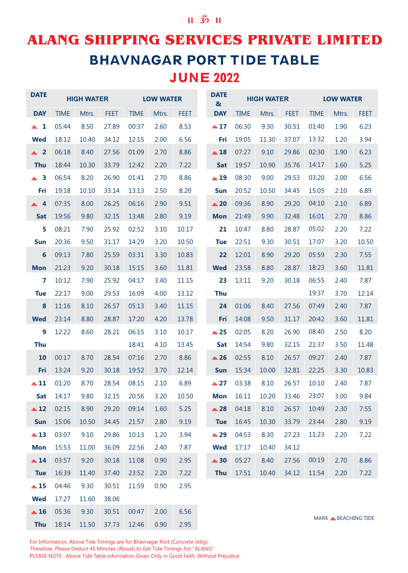### **ALANG SHIPPING SERVICES PRIVATE LIMITED BHAVNAGAR PORT TIDE TABLE** JUNE 2022

| <b>DATE</b>        |             | <b>HIGH WATER</b> |             |             | <b>LOW WATER</b> |             | <b>DATE</b><br>$\boldsymbol{\alpha}$ |             | <b>HIGH WATER</b> |             |             | <b>LOW WATER</b>                |             |
|--------------------|-------------|-------------------|-------------|-------------|------------------|-------------|--------------------------------------|-------------|-------------------|-------------|-------------|---------------------------------|-------------|
| <b>DAY</b>         | <b>TIME</b> | Mtrs.             | <b>FEET</b> | <b>TIME</b> | Mtrs.            | <b>FEET</b> | <b>DAY</b>                           | <b>TIME</b> | Mtrs.             | <b>FEET</b> | <b>TIME</b> | Mtrs.                           | <b>FEET</b> |
| $\blacktriangle$ 1 | 05:44       | 8.50              | 27.89       | 00:37       | 2.60             | 8.53        | $\triangle 17$                       | 06:30       | 9.30              | 30.51       | 01:40       | 1.90                            | 6.23        |
| <b>Wed</b>         | 18:12       | 10.40             | 34.12       | 12:15       | 2.00             | 6.56        | Fri                                  | 19:05       | 11.30             | 37.07       | 13:32       | 1.20                            | 3.94        |
| $\triangle$ 2      | 06:18       | 8.40              | 27.56       | 01:09       | 2.70             | 8.86        | $\triangle$ 18                       | 07:27       | 9.10              | 29.86       | 02:30       | 1.90                            | 6.23        |
| <b>Thu</b>         | 18:44       | 10.30             | 33.79       | 12:42       | 2.20             | 7.22        | Sat                                  | 19:57       | 10.90             | 35.76       | 14:17       | 1.60                            | 5.25        |
| $\triangle$ 3      | 06:54       | 8.20              | 26.90       | 01:41       | 2.70             | 8.86        | $\triangle$ 19                       | 08:30       | 9.00              | 29.53       | 03:20       | 2.00                            | 6.56        |
| Fri                | 19:18       | 10.10             | 33.14       | 13:13       | 2.50             | 8.20        | <b>Sun</b>                           | 20:52       | 10.50             | 34.45       | 15:05       | 2.10                            | 6.89        |
| $\triangle$ 4      | 07:35       | 8.00              | 26.25       | 06:16       | 2.90             | 9.51        | ▲ 20                                 | 09:36       | 8.90              | 29.20       | 04:10       | 2.10                            | 6.89        |
| <b>Sat</b>         | 19:56       | 9.80              | 32.15       | 13:48       | 2.80             | 9.19        | <b>Mon</b>                           | 21:49       | 9.90              | 32.48       | 16:01       | 2.70                            | 8.86        |
| 5                  | 08:21       | 7.90              | 25.92       | 02:52       | 3.10             | 10.17       | 21                                   | 10:47       | 8.80              | 28.87       | 05:02       | 2.20                            | 7.22        |
| <b>Sun</b>         | 20:36       | 9.50              | 31.17       | 14:29       | 3.20             | 10.50       | <b>Tue</b>                           | 22:51       | 9.30              | 30.51       | 17:07       | 3.20                            | 10.50       |
| $6\phantom{1}6$    | 09:13       | 7.80              | 25.59       | 03:31       | 3.30             | 10.83       | 22                                   | 12:01       | 8.90              | 29.20       | 05:59       | 2.30                            | 7.55        |
| <b>Mon</b>         | 21:23       | 9.20              | 30.18       | 15:15       | 3.60             | 11.81       | <b>Wed</b>                           | 23:58       | 8.80              | 28.87       | 18:23       | 3.60                            | 11.81       |
| 7                  | 10:12       | 7.90              | 25.92       | 04:17       | 3.40             | 11.15       | 23                                   | 13:11       | 9.20              | 30.18       | 06:55       | 2.40                            | 7.87        |
| <b>Tue</b>         | 22:17       | 9.00              | 29.53       | 16:09       | 4.00             | 13.12       | <b>Thu</b>                           |             |                   |             | 19:37       | 3.70                            | 12.14       |
| $\boldsymbol{8}$   | 11:16       | 8.10              | 26.57       | 05:13       | 3.40             | 11.15       | 24                                   | 01:06       | 8.40              | 27.56       | 07:49       | 2.40                            | 7.87        |
| <b>Wed</b>         | 23:14       | 8.80              | 28.87       | 17:20       | 4.20             | 13.78       | Fri                                  | 14:08       | 9.50              | 31.17       | 20:42       | 3.60                            | 11.81       |
| 9                  | 12:22       | 8.60              | 28.21       | 06:15       | 3.10             | 10.17       | ▲ 25                                 | 02:05       | 8.20              | 26.90       | 08:40       | 2.50                            | 8.20        |
| <b>Thu</b>         |             |                   |             | 18:41       | 4.10             | 13.45       | Sat                                  | 14:54       | 9.80              | 32.15       | 21:37       | 3.50                            | 11.48       |
| 10                 | 00:17       | 8.70              | 28.54       | 07:16       | 2.70             | 8.86        | $\triangle$ 26                       | 02:55       | 8.10              | 26.57       | 09:27       | 2.40                            | 7.87        |
| Fri                | 13:24       | 9.20              | 30.18       | 19:52       | 3.70             | 12.14       | <b>Sun</b>                           | 15:34       | 10.00             | 32.81       | 22:25       | 3.30                            | 10.83       |
| $\triangle$ 11     | 01:20       | 8.70              | 28.54       | 08:15       | 2.10             | 6.89        | $\triangle 27$                       | 03:38       | 8.10              | 26.57       | 10:10       | 2.40                            | 7.87        |
| Sat                | 14:17       | 9.80              | 32.15       | 20:56       | 3.20             | 10.50       | <b>Mon</b>                           | 16:11       | 10.20             | 33.46       | 23:07       | 3.00                            | 9.84        |
| $\triangle$ 12     | 02:15       | 8.90              | 29.20       | 09:14       | 1.60             | 5.25        | $\triangle$ 28                       | 04:18       | 8.10              | 26.57       | 10:49       | 2.30                            | 7.55        |
| Sun                | 15:06       | 10.50             | 34.45       | 21:57       | 2.80             | 9.19        | <b>Tue</b>                           | 16:45       | 10.30             | 33.79       | 23:44       | 2.80                            | 9.19        |
| $\triangle$ 13     | 03:07       | 9.10              | 29.86       | 10:13       | 1.20             | 3.94        | ▲ 29                                 | 04:53       | 8.30              | 27.23       | 11:23       | 2.20                            | 7.22        |
| <b>Mon</b>         | 15:53       | 11.00             | 36.09       | 22:56       | 2.40             | 7.87        | <b>Wed</b>                           | 17:17       | 10.40             | 34.12       |             |                                 |             |
| $\triangle$ 14     | 03:57       | 9.20              | 30.18       | 11:08       | 0.90             | 2.95        | $\triangle$ 30                       | 05:27       | 8.40              | 27.56       | 00:19       | 2.70                            | 8.86        |
| <b>Tue</b>         | 16:39       | 11.40             | 37.40       | 23:52       | 2.20             | 7.22        | <b>Thu</b>                           | 17:51       | 10.40             | 34.12       | 11:54       | 2.20                            | 7.22        |
| $\triangle$ 15     | 04:46       | 9.30              | 30.51       | 11:59       | 0.90             | 2.95        |                                      |             |                   |             |             |                                 |             |
| <b>Wed</b>         | 17:27       | 11.60             | 38.06       |             |                  |             |                                      |             |                   |             |             |                                 |             |
| $\triangle$ 16     | 05:36       | 9.30              | 30.51       | 00:47       | 2.00             | 6.56        |                                      |             |                   |             |             | MARK <b>&amp; BEACHING TIDE</b> |             |
| <b>Thu</b>         | 18:14       | 11.50             | 37.73       | 12:46       | 0.90             | 2.95        |                                      |             |                   |             |             |                                 |             |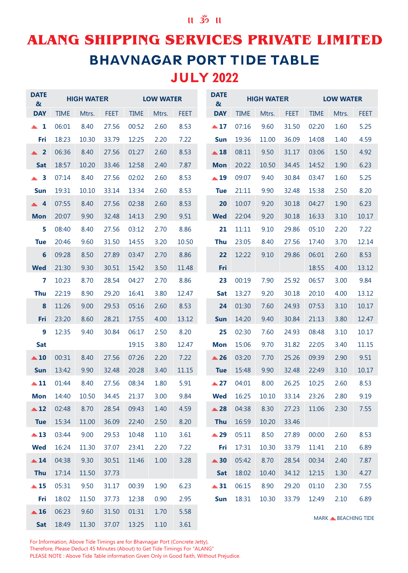### $\parallel$  32  $\parallel$

### **ALANG SHIPPING SERVICES PRIVATE LIMITED BHAVNAGAR PORT TIDE TABLE** JULY 2022

| <b>DATE</b><br>$\boldsymbol{\alpha}$ |             | <b>HIGH WATER</b> |             |             | <b>LOW WATER</b> |             | <b>DATE</b><br>$\boldsymbol{\alpha}$ |             | <b>HIGH WATER</b> |             |             | <b>LOW WATER</b>                |             |
|--------------------------------------|-------------|-------------------|-------------|-------------|------------------|-------------|--------------------------------------|-------------|-------------------|-------------|-------------|---------------------------------|-------------|
| <b>DAY</b>                           | <b>TIME</b> | Mtrs.             | <b>FEET</b> | <b>TIME</b> | Mtrs.            | <b>FEET</b> | <b>DAY</b>                           | <b>TIME</b> | Mtrs.             | <b>FEET</b> | <b>TIME</b> | Mtrs.                           | <b>FEET</b> |
| $\blacktriangle$ 1                   | 06:01       | 8.40              | 27.56       | 00:52       | 2.60             | 8.53        | $\triangle 17$                       | 07:16       | 9.60              | 31.50       | 02:20       | 1.60                            | 5.25        |
| Fri                                  | 18:23       | 10.30             | 33.79       | 12:25       | 2.20             | 7.22        | <b>Sun</b>                           | 19:36       | 11.00             | 36.09       | 14:08       | 1.40                            | 4.59        |
| $\triangle$ 2                        | 06:36       | 8.40              | 27.56       | 01:27       | 2.60             | 8.53        | $\triangle$ 18                       | 08:11       | 9.50              | 31.17       | 03:06       | 1.50                            | 4.92        |
| Sat                                  | 18:57       | 10.20             | 33.46       | 12:58       | 2.40             | 7.87        | <b>Mon</b>                           | 20:22       | 10.50             | 34.45       | 14:52       | 1.90                            | 6.23        |
| $\triangle$ 3                        | 07:14       | 8.40              | 27.56       | 02:02       | 2.60             | 8.53        | $\triangle$ 19                       | 09:07       | 9.40              | 30.84       | 03:47       | 1.60                            | 5.25        |
| <b>Sun</b>                           | 19:31       | 10.10             | 33.14       | 13:34       | 2.60             | 8.53        | <b>Tue</b>                           | 21:11       | 9.90              | 32.48       | 15:38       | 2.50                            | 8.20        |
| $\triangle 4$                        | 07:55       | 8.40              | 27.56       | 02:38       | 2.60             | 8.53        | 20                                   | 10:07       | 9.20              | 30.18       | 04:27       | 1.90                            | 6.23        |
| <b>Mon</b>                           | 20:07       | 9.90              | 32.48       | 14:13       | 2.90             | 9.51        | <b>Wed</b>                           | 22:04       | 9.20              | 30.18       | 16:33       | 3.10                            | 10.17       |
| 5                                    | 08:40       | 8.40              | 27.56       | 03:12       | 2.70             | 8.86        | 21                                   | 11:11       | 9.10              | 29.86       | 05:10       | 2.20                            | 7.22        |
| <b>Tue</b>                           | 20:46       | 9.60              | 31.50       | 14:55       | 3.20             | 10.50       | <b>Thu</b>                           | 23:05       | 8.40              | 27.56       | 17:40       | 3.70                            | 12.14       |
| $6\phantom{1}6$                      | 09:28       | 8.50              | 27.89       | 03:47       | 2.70             | 8.86        | 22                                   | 12:22       | 9.10              | 29.86       | 06:01       | 2.60                            | 8.53        |
| <b>Wed</b>                           | 21:30       | 9.30              | 30.51       | 15:42       | 3.50             | 11.48       | Fri                                  |             |                   |             | 18:55       | 4.00                            | 13.12       |
| 7                                    | 10:23       | 8.70              | 28.54       | 04:27       | 2.70             | 8.86        | 23                                   | 00:19       | 7.90              | 25.92       | 06:57       | 3.00                            | 9.84        |
| <b>Thu</b>                           | 22:19       | 8.90              | 29.20       | 16:41       | 3.80             | 12.47       | Sat                                  | 13:27       | 9.20              | 30.18       | 20:10       | 4.00                            | 13.12       |
| 8                                    | 11:26       | 9.00              | 29.53       | 05:16       | 2.60             | 8.53        | 24                                   | 01:30       | 7.60              | 24.93       | 07:53       | 3.10                            | 10.17       |
| Fri                                  | 23:20       | 8.60              | 28.21       | 17:55       | 4.00             | 13.12       | <b>Sun</b>                           | 14:20       | 9.40              | 30.84       | 21:13       | 3.80                            | 12.47       |
| 9                                    | 12:35       | 9.40              | 30.84       | 06:17       | 2.50             | 8.20        | 25                                   | 02:30       | 7.60              | 24.93       | 08:48       | 3.10                            | 10.17       |
| Sat                                  |             |                   |             | 19:15       | 3.80             | 12.47       | <b>Mon</b>                           | 15:06       | 9.70              | 31.82       | 22:05       | 3.40                            | 11.15       |
| $\triangle$ 10                       | 00:31       | 8.40              | 27.56       | 07:26       | 2.20             | 7.22        | $\triangle$ 26                       | 03:20       | 7.70              | 25.26       | 09:39       | 2.90                            | 9.51        |
| <b>Sun</b>                           | 13:42       | 9.90              | 32.48       | 20:28       | 3.40             | 11.15       | <b>Tue</b>                           | 15:48       | 9.90              | 32.48       | 22:49       | 3.10                            | 10.17       |
| $\triangle$ 11                       | 01:44       | 8.40              | 27.56       | 08:34       | 1.80             | 5.91        | $\triangle 27$                       | 04:01       | 8.00              | 26.25       | 10:25       | 2.60                            | 8.53        |
| <b>Mon</b>                           | 14:40       | 10.50             | 34.45       | 21:37       | 3.00             | 9.84        | <b>Wed</b>                           | 16:25       | 10.10             | 33.14       | 23:26       | 2.80                            | 9.19        |
| $\triangle$ 12                       | 02:48       | 8.70              | 28.54       | 09:43       | 1.40             | 4.59        | $\triangle$ 28                       | 04:38       | 8.30              | 27.23       | 11:06       | 2.30                            | 7.55        |
| <b>Tue</b>                           | 15:34       | 11.00             | 36.09       | 22:40       | 2.50             | 8.20        | <b>Thu</b>                           | 16:59       | 10.20             | 33.46       |             |                                 |             |
| $\triangle$ 13                       | 03:44       | 9.00              | 29.53       | 10:48       | 1.10             | 3.61        | ▲ 29                                 | 05:11       | 8.50              | 27.89       | 00:00       | 2.60                            | 8.53        |
| <b>Wed</b>                           | 16:24       | 11.30             | 37.07       | 23:41       | 2.20             | 7.22        | Fri                                  | 17:31       | 10.30             | 33.79       | 11:41       | 2.10                            | 6.89        |
| $\triangle$ 14                       | 04:38       | 9.30              | 30.51       | 11:46       | 1.00             | 3.28        | $\triangle 30$                       | 05:42       | 8.70              | 28.54       | 00:34       | 2.40                            | 7.87        |
| <b>Thu</b>                           | 17:14       | 11.50             | 37.73       |             |                  |             | <b>Sat</b>                           | 18:02       | 10.40             | 34.12       | 12:15       | 1.30                            | 4.27        |
| $\triangle$ 15                       | 05:31       | 9.50              | 31.17       | 00:39       | 1.90             | 6.23        | $\triangle$ 31                       | 06:15       | 8.90              | 29.20       | 01:10       | 2.30                            | 7.55        |
| Fri                                  | 18:02       | 11.50             | 37.73       | 12:38       | 0.90             | 2.95        | <b>Sun</b>                           | 18:31       | 10.30             | 33.79       | 12:49       | 2.10                            | 6.89        |
| $\triangle$ 16                       | 06:23       | 9.60              | 31.50       | 01:31       | 1.70             | 5.58        |                                      |             |                   |             |             | MARK <b>&amp; BEACHING TIDE</b> |             |
| <b>Sat</b>                           | 18:49       | 11.30             | 37.07       | 13:25       | 1.10             | 3.61        |                                      |             |                   |             |             |                                 |             |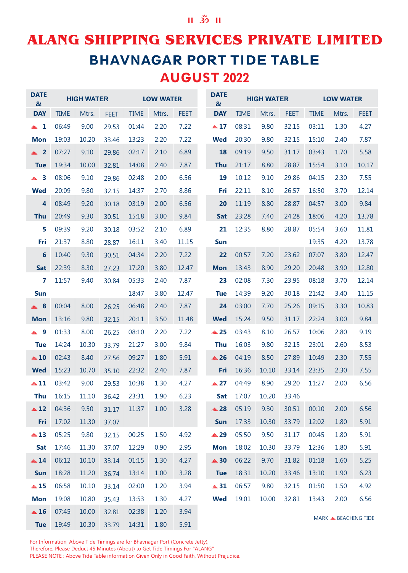## **ALANG SHIPPING SERVICES PRIVATE LIMITED BHAVNAGAR PORT TIDE TABLE** AUGUST 2022

| <b>DATE</b><br>$\boldsymbol{\alpha}$ |             | <b>HIGH WATER</b> |             |             | <b>LOW WATER</b> |             | <b>DATE</b><br>$\boldsymbol{\alpha}$ |             | <b>HIGH WATER</b> |             |             | <b>LOW WATER</b>                |             |
|--------------------------------------|-------------|-------------------|-------------|-------------|------------------|-------------|--------------------------------------|-------------|-------------------|-------------|-------------|---------------------------------|-------------|
| <b>DAY</b>                           | <b>TIME</b> | Mtrs.             | <b>FEET</b> | <b>TIME</b> | Mtrs.            | <b>FEET</b> | <b>DAY</b>                           | <b>TIME</b> | Mtrs.             | <b>FEET</b> | <b>TIME</b> | Mtrs.                           | <b>FEET</b> |
| $\blacktriangle$ 1                   | 06:49       | 9.00              | 29.53       | 01:44       | 2.20             | 7.22        | $\triangle 17$                       | 08:31       | 9.80              | 32.15       | 03:11       | 1.30                            | 4.27        |
| <b>Mon</b>                           | 19:03       | 10.20             | 33.46       | 13:23       | 2.20             | 7.22        | <b>Wed</b>                           | 20:30       | 9.80              | 32.15       | 15:10       | 2.40                            | 7.87        |
| $\triangle$ 2                        | 07:27       | 9.10              | 29.86       | 02:17       | 2.10             | 6.89        | 18                                   | 09:19       | 9.50              | 31.17       | 03:43       | 1.70                            | 5.58        |
| <b>Tue</b>                           | 19:34       | 10.00             | 32.81       | 14:08       | 2.40             | 7.87        | <b>Thu</b>                           | 21:17       | 8.80              | 28.87       | 15:54       | 3.10                            | 10.17       |
| $\triangle$ 3                        | 08:06       | 9.10              | 29.86       | 02:48       | 2.00             | 6.56        | 19                                   | 10:12       | 9.10              | 29.86       | 04:15       | 2.30                            | 7.55        |
| <b>Wed</b>                           | 20:09       | 9.80              | 32.15       | 14:37       | 2.70             | 8.86        | Fri                                  | 22:11       | 8.10              | 26.57       | 16:50       | 3.70                            | 12.14       |
| 4                                    | 08:49       | 9.20              | 30.18       | 03:19       | 2.00             | 6.56        | 20                                   | 11:19       | 8.80              | 28.87       | 04:57       | 3.00                            | 9.84        |
| <b>Thu</b>                           | 20:49       | 9.30              | 30.51       | 15:18       | 3.00             | 9.84        | <b>Sat</b>                           | 23:28       | 7.40              | 24.28       | 18:06       | 4.20                            | 13.78       |
| 5                                    | 09:39       | 9.20              | 30.18       | 03:52       | 2.10             | 6.89        | 21                                   | 12:35       | 8.80              | 28.87       | 05:54       | 3.60                            | 11.81       |
| Fri                                  | 21:37       | 8.80              | 28.87       | 16:11       | 3.40             | 11.15       | <b>Sun</b>                           |             |                   |             | 19:35       | 4.20                            | 13.78       |
| 6                                    | 10:40       | 9.30              | 30.51       | 04:34       | 2.20             | 7.22        | 22                                   | 00:57       | 7.20              | 23.62       | 07:07       | 3.80                            | 12.47       |
| <b>Sat</b>                           | 22:39       | 8.30              | 27.23       | 17:20       | 3.80             | 12.47       | <b>Mon</b>                           | 13:43       | 8.90              | 29.20       | 20:48       | 3.90                            | 12.80       |
| 7                                    | 11:57       | 9.40              | 30.84       | 05:33       | 2.40             | 7.87        | 23                                   | 02:08       | 7.30              | 23.95       | 08:18       | 3.70                            | 12.14       |
| <b>Sun</b>                           |             |                   |             | 18:47       | 3.80             | 12.47       | <b>Tue</b>                           | 14:39       | 9.20              | 30.18       | 21:42       | 3.40                            | 11.15       |
| $\triangle$ 8                        | 00:04       | 8.00              | 26.25       | 06:48       | 2.40             | 7.87        | 24                                   | 03:00       | 7.70              | 25.26       | 09:15       | 3.30                            | 10.83       |
| <b>Mon</b>                           | 13:16       | 9.80              | 32.15       | 20:11       | 3.50             | 11.48       | <b>Wed</b>                           | 15:24       | 9.50              | 31.17       | 22:24       | 3.00                            | 9.84        |
| ▲ 9                                  | 01:33       | 8.00              | 26.25       | 08:10       | 2.20             | 7.22        | $\triangle$ 25                       | 03:43       | 8.10              | 26.57       | 10:06       | 2.80                            | 9.19        |
| <b>Tue</b>                           | 14:24       | 10.30             | 33.79       | 21:27       | 3.00             | 9.84        | <b>Thu</b>                           | 16:03       | 9.80              | 32.15       | 23:01       | 2.60                            | 8.53        |
| $\triangle$ 10                       | 02:43       | 8.40              | 27.56       | 09:27       | 1.80             | 5.91        | $\triangle$ 26                       | 04:19       | 8.50              | 27.89       | 10:49       | 2.30                            | 7.55        |
| <b>Wed</b>                           | 15:23       | 10.70             | 35.10       | 22:32       | 2.40             | 7.87        | Fri                                  | 16:36       | 10.10             | 33.14       | 23:35       | 2.30                            | 7.55        |
| $\triangle$ 11                       | 03:42       | 9.00              | 29.53       | 10:38       | 1.30             | 4.27        | $\triangle 27$                       | 04:49       | 8.90              | 29.20       | 11:27       | 2.00                            | 6.56        |
| <b>Thu</b>                           | 16:15       | 11.10             | 36.42       | 23:31       | 1.90             | 6.23        | <b>Sat</b>                           | 17:07       | 10.20             | 33.46       |             |                                 |             |
| $\triangle$ 12                       | 04:36       | 9.50              | 31.17       | 11:37       | 1.00             | 3.28        | $\triangle$ 28                       | 05:19       | 9.30              | 30.51       | 00:10       | 2.00                            | 6.56        |
| Fri                                  | 17:02       | 11.30             | 37.07       |             |                  |             | Sun                                  | 17:33       | 10.30             | 33.79       | 12:02       | 1.80                            | 5.91        |
| $\triangle$ 13                       | 05:25       | 9.80              | 32.15       | 00:25       | 1.50             | 4.92        | ▲ 29                                 | 05:50       | 9.50              | 31.17       | 00:45       | 1.80                            | 5.91        |
| <b>Sat</b>                           | 17:46       | 11.30             | 37.07       | 12:29       | 0.90             | 2.95        | <b>Mon</b>                           | 18:02       | 10.30             | 33.79       | 12:36       | 1.80                            | 5.91        |
| $\triangle$ 14                       | 06:12       | 10.10             | 33.14       | 01:15       | 1.30             | 4.27        | $\triangle$ 30                       | 06:22       | 9.70              | 31.82       | 01:18       | 1.60                            | 5.25        |
| Sun                                  | 18:28       | 11.20             | 36.74       | 13:14       | 1.00             | 3.28        | <b>Tue</b>                           | 18:31       | 10.20             | 33.46       | 13:10       | 1.90                            | 6.23        |
| $\triangle$ 15                       | 06:58       | 10.10             | 33.14       | 02:00       | 1.20             | 3.94        | $\triangle$ 31                       | 06:57       | 9.80              | 32.15       | 01:50       | 1.50                            | 4.92        |
| <b>Mon</b>                           | 19:08       | 10.80             | 35.43       | 13:53       | 1.30             | 4.27        | <b>Wed</b>                           | 19:01       | 10.00             | 32.81       | 13:43       | 2.00                            | 6.56        |
| $\triangle$ 16                       | 07:45       | 10.00             | 32.81       | 02:38       | 1.20             | 3.94        |                                      |             |                   |             |             | MARK <b>&amp; BEACHING TIDE</b> |             |
| <b>Tue</b>                           | 19:49       | 10.30             | 33.79       | 14:31       | 1.80             | 5.91        |                                      |             |                   |             |             |                                 |             |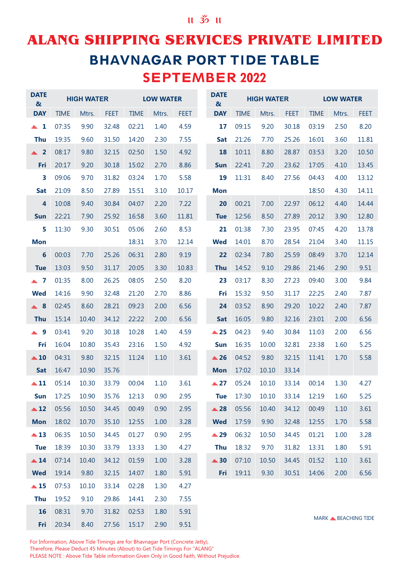### $II$   $35$   $II$

## **ALANG SHIPPING SERVICES PRIVATE LIMITED BHAVNAGAR PORT TIDE TABLE** SEPTEMBER 2022

| <b>DATE</b><br>$\boldsymbol{\alpha}$ |             | <b>HIGH WATER</b> |             |             | <b>LOW WATER</b> |             | <b>DATE</b><br>$\boldsymbol{\alpha}$ |             | <b>HIGH WATER</b> |             |             | <b>LOW WATER</b>                |             |
|--------------------------------------|-------------|-------------------|-------------|-------------|------------------|-------------|--------------------------------------|-------------|-------------------|-------------|-------------|---------------------------------|-------------|
| <b>DAY</b>                           | <b>TIME</b> | Mtrs.             | <b>FEET</b> | <b>TIME</b> | Mtrs.            | <b>FEET</b> | <b>DAY</b>                           | <b>TIME</b> | Mtrs.             | <b>FEET</b> | <b>TIME</b> | Mtrs.                           | <b>FEET</b> |
| $\blacktriangle$ 1                   | 07:35       | 9.90              | 32.48       | 02:21       | 1.40             | 4.59        | 17                                   | 09:15       | 9.20              | 30.18       | 03:19       | 2.50                            | 8.20        |
| <b>Thu</b>                           | 19:35       | 9.60              | 31.50       | 14:20       | 2.30             | 7.55        | <b>Sat</b>                           | 21:26       | 7.70              | 25.26       | 16:01       | 3.60                            | 11.81       |
| $\triangle$ 2                        | 08:17       | 9.80              | 32.15       | 02:50       | 1.50             | 4.92        | 18                                   | 10:11       | 8.80              | 28.87       | 03:53       | 3.20                            | 10.50       |
| Fri                                  | 20:17       | 9.20              | 30.18       | 15:02       | 2.70             | 8.86        | <b>Sun</b>                           | 22:41       | 7.20              | 23.62       | 17:05       | 4.10                            | 13.45       |
| 3                                    | 09:06       | 9.70              | 31.82       | 03:24       | 1.70             | 5.58        | 19                                   | 11:31       | 8.40              | 27.56       | 04:43       | 4.00                            | 13.12       |
| <b>Sat</b>                           | 21:09       | 8.50              | 27.89       | 15:51       | 3.10             | 10.17       | <b>Mon</b>                           |             |                   |             | 18:50       | 4.30                            | 14.11       |
| $\overline{\mathbf{4}}$              | 10:08       | 9.40              | 30.84       | 04:07       | 2.20             | 7.22        | 20                                   | 00:21       | 7.00              | 22.97       | 06:12       | 4.40                            | 14.44       |
| <b>Sun</b>                           | 22:21       | 7.90              | 25.92       | 16:58       | 3.60             | 11.81       | <b>Tue</b>                           | 12:56       | 8.50              | 27.89       | 20:12       | 3.90                            | 12.80       |
| 5                                    | 11:30       | 9.30              | 30.51       | 05:06       | 2.60             | 8.53        | 21                                   | 01:38       | 7.30              | 23.95       | 07:45       | 4.20                            | 13.78       |
| <b>Mon</b>                           |             |                   |             | 18:31       | 3.70             | 12.14       | <b>Wed</b>                           | 14:01       | 8.70              | 28.54       | 21:04       | 3.40                            | 11.15       |
| $6\phantom{1}6$                      | 00:03       | 7.70              | 25.26       | 06:31       | 2.80             | 9.19        | 22                                   | 02:34       | 7.80              | 25.59       | 08:49       | 3.70                            | 12.14       |
| <b>Tue</b>                           | 13:03       | 9.50              | 31.17       | 20:05       | 3.30             | 10.83       | <b>Thu</b>                           | 14:52       | 9.10              | 29.86       | 21:46       | 2.90                            | 9.51        |
| $\blacktriangle$ 7                   | 01:35       | 8.00              | 26.25       | 08:05       | 2.50             | 8.20        | 23                                   | 03:17       | 8.30              | 27.23       | 09:40       | 3.00                            | 9.84        |
| <b>Wed</b>                           | 14:16       | 9.90              | 32.48       | 21:20       | 2.70             | 8.86        | Fri                                  | 15:32       | 9.50              | 31.17       | 22:25       | 2.40                            | 7.87        |
| $\triangle$ 8                        | 02:45       | 8.60              | 28.21       | 09:23       | 2.00             | 6.56        | 24                                   | 03:52       | 8.90              | 29.20       | 10:22       | 2.40                            | 7.87        |
| <b>Thu</b>                           | 15:14       | 10.40             | 34.12       | 22:22       | 2.00             | 6.56        | <b>Sat</b>                           | 16:05       | 9.80              | 32.16       | 23:01       | 2.00                            | 6.56        |
| ▲ 9                                  | 03:41       | 9.20              | 30.18       | 10:28       | 1.40             | 4.59        | $\triangle$ 25                       | 04:23       | 9.40              | 30.84       | 11:03       | 2.00                            | 6.56        |
| Fri                                  | 16:04       | 10.80             | 35.43       | 23:16       | 1.50             | 4.92        | <b>Sun</b>                           | 16:35       | 10.00             | 32.81       | 23:38       | 1.60                            | 5.25        |
| $\triangle$ 10                       | 04:31       | 9.80              | 32.15       | 11:24       | 1.10             | 3.61        | $\triangle$ 26                       | 04:52       | 9.80              | 32.15       | 11:41       | 1.70                            | 5.58        |
| <b>Sat</b>                           | 16:47       | 10.90             | 35.76       |             |                  |             | <b>Mon</b>                           | 17:02       | 10.10             | 33.14       |             |                                 |             |
| $\triangle$ 11                       | 05:14       | 10.30             | 33.79       | 00:04       | 1.10             | 3.61        | $\triangle 27$                       | 05:24       | 10.10             | 33.14       | 00:14       | 1.30                            | 4.27        |
| Sun                                  | 17:25       | 10.90             | 35.76       | 12:13       | 0.90             | 2.95        | <b>Tue</b>                           | 17:30       | 10.10             | 33.14       | 12:19       | 1.60                            | 5.25        |
| $\triangle$ 12                       | 05:56       | 10.50             | 34.45       | 00:49       | 0.90             | 2.95        | $\triangle$ 28                       | 05:56       | 10.40             | 34.12       | 00:49       | 1.10                            | 3.61        |
| <b>Mon</b>                           | 18:02       | 10.70             | 35.10       | 12:55       | 1.00             | 3.28        | <b>Wed</b>                           | 17:59       | 9.90              | 32.48       | 12:55       | 1.70                            | 5.58        |
| $\triangle$ 13                       | 06:35       | 10.50             | 34.45       | 01:27       | 0.90             | 2.95        | ▲ 29                                 | 06:32       | 10.50             | 34.45       | 01:21       | 1.00                            | 3.28        |
| <b>Tue</b>                           | 18:39       | 10.30             | 33.79       | 13:33       | 1.30             | 4.27        | <b>Thu</b>                           | 18:32       | 9.70              | 31.82       | 13:31       | 1.80                            | 5.91        |
| $\triangle$ 14                       | 07:14       | 10.40             | 34.12       | 01:59       | 1.00             | 3.28        | $\triangle$ 30                       | 07:10       | 10.50             | 34.45       | 01:52       | 1.10                            | 3.61        |
| <b>Wed</b>                           | 19:14       | 9.80              | 32.15       | 14:07       | 1.80             | 5.91        | Fri                                  | 19:11       | 9.30              | 30.51       | 14:06       | 2.00                            | 6.56        |
| $\triangle$ 15                       | 07:53       | 10.10             | 33.14       | 02:28       | 1.30             | 4.27        |                                      |             |                   |             |             |                                 |             |
| <b>Thu</b>                           | 19:52       | 9.10              | 29.86       | 14:41       | 2.30             | 7.55        |                                      |             |                   |             |             |                                 |             |
| 16                                   | 08:31       | 9.70              | 31.82       | 02:53       | 1.80             | 5.91        |                                      |             |                   |             |             |                                 |             |
| Fri                                  | 20:34       | 8.40              | 27.56       | 15:17       | 2.90             | 9.51        |                                      |             |                   |             |             | MARK <b>&amp; BEACHING TIDE</b> |             |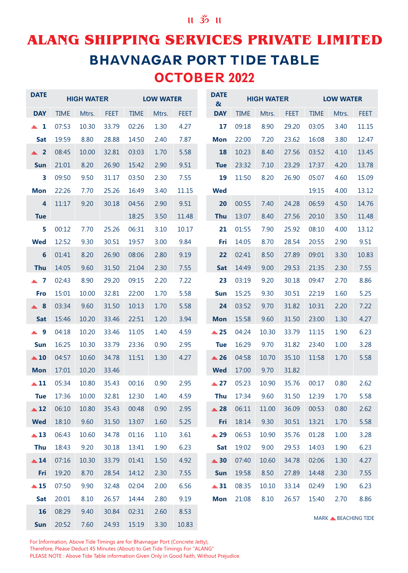## **ALANG SHIPPING SERVICES PRIVATE LIMITED BHAVNAGAR PORT TIDE TABLE** OCTOBER 2022

| <b>DATE</b>             |             | <b>HIGH WATER</b> |             |             | <b>LOW WATER</b> |             | <b>DATE</b><br>$\boldsymbol{\alpha}$ |             | <b>HIGH WATER</b> |             |             | <b>LOW WATER</b>                |             |
|-------------------------|-------------|-------------------|-------------|-------------|------------------|-------------|--------------------------------------|-------------|-------------------|-------------|-------------|---------------------------------|-------------|
| <b>DAY</b>              | <b>TIME</b> | Mtrs.             | <b>FEET</b> | <b>TIME</b> | Mtrs.            | <b>FEET</b> | <b>DAY</b>                           | <b>TIME</b> | Mtrs.             | <b>FEET</b> | <b>TIME</b> | Mtrs.                           | <b>FEET</b> |
| $\blacktriangle$ 1      | 07:53       | 10.30             | 33.79       | 02:26       | 1.30             | 4.27        | 17                                   | 09:18       | 8.90              | 29.20       | 03:05       | 3.40                            | 11.15       |
| <b>Sat</b>              | 19:59       | 8.80              | 28.88       | 14:50       | 2.40             | 7.87        | <b>Mon</b>                           | 22:00       | 7.20              | 23.62       | 16:08       | 3.80                            | 12.47       |
| $\triangle$ 2           | 08:45       | 10.00             | 32.81       | 03:03       | 1.70             | 5.58        | 18                                   | 10:23       | 8.40              | 27.56       | 03:52       | 4.10                            | 13.45       |
| <b>Sun</b>              | 21:01       | 8.20              | 26.90       | 15:42       | 2.90             | 9.51        | <b>Tue</b>                           | 23:32       | 7.10              | 23.29       | 17:37       | 4.20                            | 13.78       |
| $\overline{\mathbf{3}}$ | 09:50       | 9.50              | 31.17       | 03:50       | 2.30             | 7.55        | 19                                   | 11:50       | 8.20              | 26.90       | 05:07       | 4.60                            | 15.09       |
| <b>Mon</b>              | 22:26       | 7.70              | 25.26       | 16:49       | 3.40             | 11.15       | <b>Wed</b>                           |             |                   |             | 19:15       | 4.00                            | 13.12       |
| 4                       | 11:17       | 9.20              | 30.18       | 04:56       | 2.90             | 9.51        | 20                                   | 00:55       | 7.40              | 24.28       | 06:59       | 4.50                            | 14.76       |
| <b>Tue</b>              |             |                   |             | 18:25       | 3.50             | 11.48       | <b>Thu</b>                           | 13:07       | 8.40              | 27.56       | 20:10       | 3.50                            | 11.48       |
| 5                       | 00:12       | 7.70              | 25.26       | 06:31       | 3.10             | 10.17       | 21                                   | 01:55       | 7.90              | 25.92       | 08:10       | 4.00                            | 13.12       |
| <b>Wed</b>              | 12:52       | 9.30              | 30.51       | 19:57       | 3.00             | 9.84        | Fri                                  | 14:05       | 8.70              | 28.54       | 20:55       | 2.90                            | 9.51        |
| 6                       | 01:41       | 8.20              | 26.90       | 08:06       | 2.80             | 9.19        | 22                                   | 02:41       | 8.50              | 27.89       | 09:01       | 3.30                            | 10.83       |
| <b>Thu</b>              | 14:05       | 9.60              | 31.50       | 21:04       | 2.30             | 7.55        | <b>Sat</b>                           | 14:49       | 9.00              | 29.53       | 21:35       | 2.30                            | 7.55        |
| $\blacktriangle$ 7      | 02:43       | 8.90              | 29.20       | 09:15       | 2.20             | 7.22        | 23                                   | 03:19       | 9.20              | 30.18       | 09:47       | 2.70                            | 8.86        |
| <b>Fro</b>              | 15:01       | 10.00             | 32.81       | 22:00       | 1.70             | 5.58        | <b>Sun</b>                           | 15:25       | 9.30              | 30.51       | 22:19       | 1.60                            | 5.25        |
| $\triangle$ 8           | 03:34       | 9.60              | 31.50       | 10:13       | 1.70             | 5.58        | 24                                   | 03:52       | 9.70              | 31.82       | 10:31       | 2.20                            | 7.22        |
| <b>Sat</b>              | 15:46       | 10.20             | 33.46       | 22:51       | 1.20             | 3.94        | <b>Mon</b>                           | 15:58       | 9.60              | 31.50       | 23:00       | 1.30                            | 4.27        |
| ▲ 9                     | 04:18       | 10.20             | 33.46       | 11:05       | 1.40             | 4.59        | ▲ 25                                 | 04:24       | 10.30             | 33.79       | 11:15       | 1.90                            | 6.23        |
| <b>Sun</b>              | 16:25       | 10.30             | 33.79       | 23:36       | 0.90             | 2.95        | <b>Tue</b>                           | 16:29       | 9.70              | 31.82       | 23:40       | 1.00                            | 3.28        |
| $\triangle$ 10          | 04:57       | 10.60             | 34.78       | 11:51       | 1.30             | 4.27        | $\triangle$ 26                       | 04:58       | 10.70             | 35.10       | 11:58       | 1.70                            | 5.58        |
| <b>Mon</b>              | 17:01       | 10.20             | 33.46       |             |                  |             | <b>Wed</b>                           | 17:00       | 9.70              | 31.82       |             |                                 |             |
| $\triangle 11$          | 05:34       | 10.80             | 35.43       | 00:16       | 0.90             | 2.95        | $\triangle$ 27                       | 05:23       | 10.90             | 35.76       | 00:17       | 0.80                            | 2.62        |
| <b>Tue</b>              | 17:36       | 10.00             | 32.81       | 12:30       | 1.40             | 4.59        | <b>Thu</b>                           | 17:34       | 9.60              | 31.50       | 12:39       | 1.70                            | 5.58        |
| $\triangle$ 12          | 06:10       | 10.80             | 35.43       | 00:48       | 0.90             | 2.95        | $\triangle$ 28                       | 06:11       | 11.00             | 36.09       | 00:53       | 0.80                            | 2.62        |
| <b>Wed</b>              | 18:10       | 9.60              | 31.50       | 13:07       | 1.60             | 5.25        | Fri                                  | 18:14       | 9.30              | 30.51       | 13:21       | 1.70                            | 5.58        |
| $\triangle$ 13          | 06:43       | 10.60             | 34.78       | 01:16       | 1.10             | 3.61        | ▲ 29                                 | 06:53       | 10.90             | 35.76       | 01:28       | 1.00                            | 3.28        |
| <b>Thu</b>              | 18:43       | 9.20              | 30.18       | 13:41       | 1.90             | 6.23        | <b>Sat</b>                           | 19:02       | 9.00              | 29.53       | 14:03       | 1.90                            | 6.23        |
| $\triangle$ 14          | 07:16       | 10.30             | 33.79       | 01:41       | 1.50             | 4.92        | $\triangle$ 30                       | 07:40       | 10.60             | 34.78       | 02:06       | 1.30                            | 4.27        |
| Fri                     | 19:20       | 8.70              | 28.54       | 14:12       | 2.30             | 7.55        | <b>Sun</b>                           | 19:58       | 8.50              | 27.89       | 14:48       | 2.30                            | 7.55        |
| $\triangle$ 15          | 07:50       | 9.90              | 32.48       | 02:04       | 2.00             | 6.56        | $\triangle$ 31                       | 08:35       | 10.10             | 33.14       | 02:49       | 1.90                            | 6.23        |
| Sat                     | 20:01       | 8.10              | 26.57       | 14:44       | 2.80             | 9.19        | <b>Mon</b>                           | 21:08       | 8.10              | 26.57       | 15:40       | 2.70                            | 8.86        |
| 16                      | 08:29       | 9.40              | 30.84       | 02:31       | 2.60             | 8.53        |                                      |             |                   |             |             | MARK <b>&amp; BEACHING TIDE</b> |             |
| Sun                     | 20:52       | 7.60              | 24.93       | 15:19       | 3.30             | 10.83       |                                      |             |                   |             |             |                                 |             |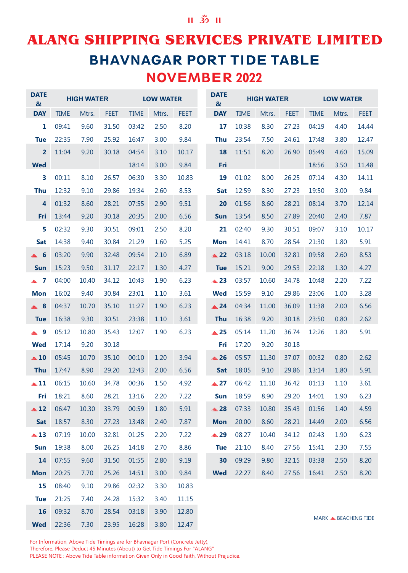## **ALANG SHIPPING SERVICES PRIVATE LIMITED BHAVNAGAR PORT TIDE TABLE** NOVEMBER 2022

| <b>DATE</b><br>$\boldsymbol{\alpha}$ |             | <b>HIGH WATER</b> |             |             | <b>LOW WATER</b> |             | <b>DATE</b><br>$\boldsymbol{\alpha}$ |             | <b>HIGH WATER</b> |             |             | <b>LOW WATER</b>                |             |
|--------------------------------------|-------------|-------------------|-------------|-------------|------------------|-------------|--------------------------------------|-------------|-------------------|-------------|-------------|---------------------------------|-------------|
| <b>DAY</b>                           | <b>TIME</b> | Mtrs.             | <b>FEET</b> | <b>TIME</b> | Mtrs.            | <b>FEET</b> | <b>DAY</b>                           | <b>TIME</b> | Mtrs.             | <b>FEET</b> | <b>TIME</b> | Mtrs.                           | <b>FEET</b> |
| 1                                    | 09:41       | 9.60              | 31.50       | 03:42       | 2.50             | 8.20        | 17                                   | 10:38       | 8.30              | 27.23       | 04:19       | 4.40                            | 14.44       |
| <b>Tue</b>                           | 22:35       | 7.90              | 25.92       | 16:47       | 3.00             | 9.84        | <b>Thu</b>                           | 23:54       | 7.50              | 24.61       | 17:48       | 3.80                            | 12.47       |
| $\overline{2}$                       | 11:04       | 9.20              | 30.18       | 04:54       | 3.10             | 10.17       | 18                                   | 11:51       | 8.20              | 26.90       | 05:49       | 4.60                            | 15.09       |
| <b>Wed</b>                           |             |                   |             | 18:14       | 3.00             | 9.84        | Fri                                  |             |                   |             | 18:56       | 3.50                            | 11.48       |
| $\overline{\mathbf{3}}$              | 00:11       | 8.10              | 26.57       | 06:30       | 3.30             | 10.83       | 19                                   | 01:02       | 8.00              | 26.25       | 07:14       | 4.30                            | 14.11       |
| <b>Thu</b>                           | 12:32       | 9.10              | 29.86       | 19:34       | 2.60             | 8.53        | <b>Sat</b>                           | 12:59       | 8.30              | 27.23       | 19:50       | 3.00                            | 9.84        |
| $\overline{4}$                       | 01:32       | 8.60              | 28.21       | 07:55       | 2.90             | 9.51        | 20                                   | 01:56       | 8.60              | 28.21       | 08:14       | 3.70                            | 12.14       |
| Fri                                  | 13:44       | 9.20              | 30.18       | 20:35       | 2.00             | 6.56        | <b>Sun</b>                           | 13:54       | 8.50              | 27.89       | 20:40       | 2.40                            | 7.87        |
| 5                                    | 02:32       | 9.30              | 30.51       | 09:01       | 2.50             | 8.20        | 21                                   | 02:40       | 9.30              | 30.51       | 09:07       | 3.10                            | 10.17       |
| Sat                                  | 14:38       | 9.40              | 30.84       | 21:29       | 1.60             | 5.25        | <b>Mon</b>                           | 14:41       | 8.70              | 28.54       | 21:30       | 1.80                            | 5.91        |
| $\triangle$ 6                        | 03:20       | 9.90              | 32.48       | 09:54       | 2.10             | 6.89        | $\triangle$ 22                       | 03:18       | 10.00             | 32.81       | 09:58       | 2.60                            | 8.53        |
| <b>Sun</b>                           | 15:23       | 9.50              | 31.17       | 22:17       | 1.30             | 4.27        | <b>Tue</b>                           | 15:21       | 9.00              | 29.53       | 22:18       | 1.30                            | 4.27        |
| $\blacktriangle$ 7                   | 04:00       | 10.40             | 34.12       | 10:43       | 1.90             | 6.23        | $\triangle$ 23                       | 03:57       | 10.60             | 34.78       | 10:48       | 2.20                            | 7.22        |
| <b>Mon</b>                           | 16:02       | 9.40              | 30.84       | 23:01       | 1.10             | 3.61        | <b>Wed</b>                           | 15:59       | 9.10              | 29.86       | 23:06       | 1.00                            | 3.28        |
| $\triangle$ 8                        | 04:37       | 10.70             | 35.10       | 11:27       | 1.90             | 6.23        | $\triangle$ 24                       | 04:34       | 11.00             | 36.09       | 11:38       | 2.00                            | 6.56        |
| <b>Tue</b>                           | 16:38       | 9.30              | 30.51       | 23:38       | 1.10             | 3.61        | <b>Thu</b>                           | 16:38       | 9.20              | 30.18       | 23:50       | 0.80                            | 2.62        |
| ▲ 9                                  | 05:12       | 10.80             | 35.43       | 12:07       | 1.90             | 6.23        | $\triangle$ 25                       | 05:14       | 11.20             | 36.74       | 12:26       | 1.80                            | 5.91        |
| <b>Wed</b>                           | 17:14       | 9.20              | 30.18       |             |                  |             | Fri                                  | 17:20       | 9.20              | 30.18       |             |                                 |             |
| $\triangle$ 10                       | 05:45       | 10.70             | 35.10       | 00:10       | 1.20             | 3.94        | $\triangle$ 26                       | 05:57       | 11.30             | 37.07       | 00:32       | 0.80                            | 2.62        |
| <b>Thu</b>                           | 17:47       | 8.90              | 29.20       | 12:43       | 2.00             | 6.56        | <b>Sat</b>                           | 18:05       | 9.10              | 29.86       | 13:14       | 1.80                            | 5.91        |
| $\triangle$ 11                       | 06:15       | 10.60             | 34.78       | 00:36       | 1.50             | 4.92        | $\triangle 27$                       | 06:42       | 11.10             | 36.42       | 01:13       | 1.10                            | 3.61        |
| Fri                                  | 18:21       | 8.60              | 28.21       | 13:16       | 2.20             | 7.22        | Sun                                  | 18:59       | 8.90              | 29.20       | 14:01       | 1.90                            | 6.23        |
| $\triangle$ 12                       | 06:47       | 10.30             | 33.79       | 00:59       | 1.80             | 5.91        | $\triangle$ 28                       | 07:33       | 10.80             | 35.43       | 01:56       | 1.40                            | 4.59        |
| Sat                                  | 18:57       | 8.30              | 27.23       | 13:48       | 2.40             | 7.87        | <b>Mon</b>                           | 20:00       | 8.60              | 28.21       | 14:49       | 2.00                            | 6.56        |
| $\triangle$ 13                       | 07:19       | 10.00             | 32.81       | 01:25       | 2.20             | 7.22        | ▲ 29                                 | 08:27       | 10.40             | 34.12       | 02:43       | 1.90                            | 6.23        |
| <b>Sun</b>                           | 19:38       | 8.00              | 26.25       | 14:18       | 2.70             | 8.86        | <b>Tue</b>                           | 21:10       | 8.40              | 27.56       | 15:41       | 2.30                            | 7.55        |
| 14                                   | 07:55       | 9.60              | 31.50       | 01:55       | 2.80             | 9.19        | 30                                   | 09:29       | 9.80              | 32.15       | 03:38       | 2.50                            | 8.20        |
| <b>Mon</b>                           | 20:25       | 7.70              | 25.26       | 14:51       | 3.00             | 9.84        | <b>Wed</b>                           | 22:27       | 8.40              | 27.56       | 16:41       | 2.50                            | 8.20        |
| 15                                   | 08:40       | 9.10              | 29.86       | 02:32       | 3.30             | 10.83       |                                      |             |                   |             |             |                                 |             |
| <b>Tue</b>                           | 21:25       | 7.40              | 24.28       | 15:32       | 3.40             | 11.15       |                                      |             |                   |             |             |                                 |             |
| 16                                   | 09:32       | 8.70              | 28.54       | 03:18       | 3.90             | 12.80       |                                      |             |                   |             |             | MARK <b>&amp; BEACHING TIDE</b> |             |
| <b>Wed</b>                           | 22:36       | 7.30              | 23.95       | 16:28       | 3.80             | 12.47       |                                      |             |                   |             |             |                                 |             |